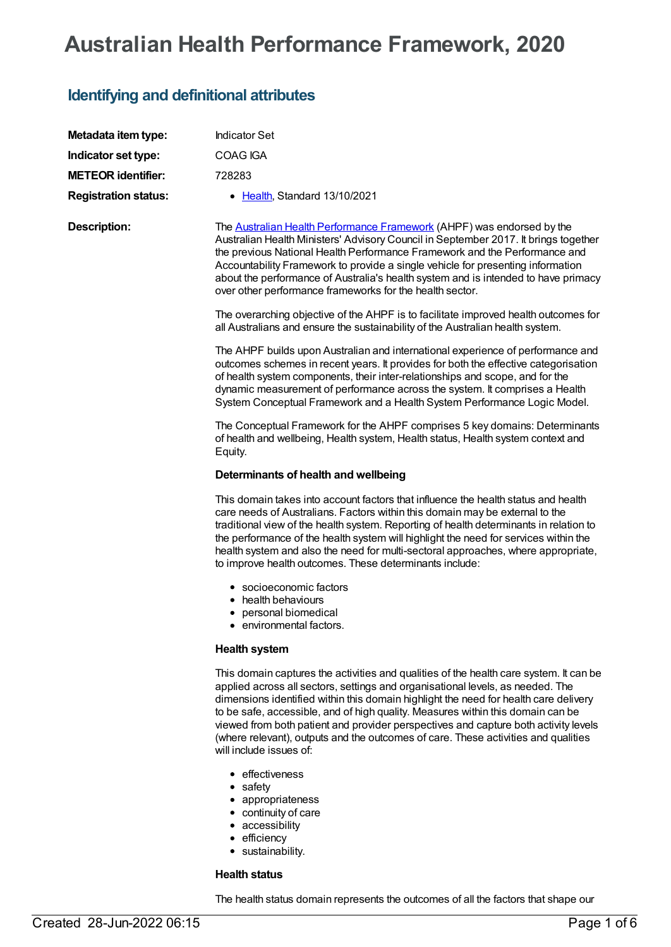# **Australian Health Performance Framework, 2020**

## **Identifying and definitional attributes**

| Metadata item type:         | <b>Indicator Set</b>                                                                                                                                                                                                                                                                                                                                                                                                                                                                                                                                        |
|-----------------------------|-------------------------------------------------------------------------------------------------------------------------------------------------------------------------------------------------------------------------------------------------------------------------------------------------------------------------------------------------------------------------------------------------------------------------------------------------------------------------------------------------------------------------------------------------------------|
| Indicator set type:         | COAG IGA                                                                                                                                                                                                                                                                                                                                                                                                                                                                                                                                                    |
| <b>METEOR identifier:</b>   | 728283                                                                                                                                                                                                                                                                                                                                                                                                                                                                                                                                                      |
| <b>Registration status:</b> | • Health, Standard 13/10/2021                                                                                                                                                                                                                                                                                                                                                                                                                                                                                                                               |
| <b>Description:</b>         | The <b>Australian Health Performance Framework</b> (AHPF) was endorsed by the<br>Australian Health Ministers' Advisory Council in September 2017. It brings together<br>the previous National Health Performance Framework and the Performance and<br>Accountability Framework to provide a single vehicle for presenting information<br>about the performance of Australia's health system and is intended to have primacy<br>over other performance frameworks for the health sector.                                                                     |
|                             | The overarching objective of the AHPF is to facilitate improved health outcomes for<br>all Australians and ensure the sustainability of the Australian health system.                                                                                                                                                                                                                                                                                                                                                                                       |
|                             | The AHPF builds upon Australian and international experience of performance and<br>outcomes schemes in recent years. It provides for both the effective categorisation<br>of health system components, their inter-relationships and scope, and for the<br>dynamic measurement of performance across the system. It comprises a Health<br>System Conceptual Framework and a Health System Performance Logic Model.                                                                                                                                          |
|                             | The Conceptual Framework for the AHPF comprises 5 key domains: Determinants<br>of health and wellbeing, Health system, Health status, Health system context and<br>Equity.                                                                                                                                                                                                                                                                                                                                                                                  |
|                             | Determinants of health and wellbeing                                                                                                                                                                                                                                                                                                                                                                                                                                                                                                                        |
|                             | This domain takes into account factors that influence the health status and health<br>care needs of Australians. Factors within this domain may be external to the<br>traditional view of the health system. Reporting of health determinants in relation to<br>the performance of the health system will highlight the need for services within the<br>health system and also the need for multi-sectoral approaches, where appropriate,<br>to improve health outcomes. These determinants include:                                                        |
|                             | • socioeconomic factors<br>health behaviours<br>personal biomedical<br>• environmental factors.                                                                                                                                                                                                                                                                                                                                                                                                                                                             |
|                             | <b>Health system</b>                                                                                                                                                                                                                                                                                                                                                                                                                                                                                                                                        |
|                             | This domain captures the activities and qualities of the health care system. It can be<br>applied across all sectors, settings and organisational levels, as needed. The<br>dimensions identified within this domain highlight the need for health care delivery<br>to be safe, accessible, and of high quality. Measures within this domain can be<br>viewed from both patient and provider perspectives and capture both activity levels<br>(where relevant), outputs and the outcomes of care. These activities and qualities<br>will include issues of: |
|                             | • effectiveness<br>$\bullet$ safety<br>• appropriateness<br>• continuity of care<br>• accessibility<br>• efficiency                                                                                                                                                                                                                                                                                                                                                                                                                                         |

sustainability.

#### **Health status**

The health status domain represents the outcomes of all the factors that shape our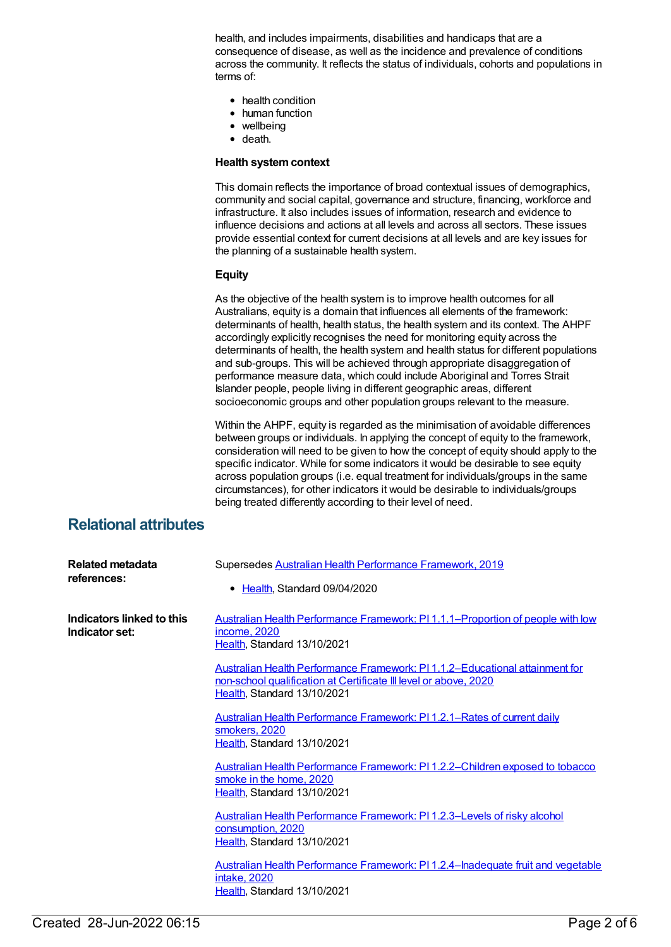health, and includes impairments, disabilities and handicaps that are a consequence of disease, as well as the incidence and prevalence of conditions across the community. It reflects the status of individuals, cohorts and populations in terms of:

- health condition
- human function
- wellbeing
- death.

#### **Health systemcontext**

This domain reflects the importance of broad contextual issues of demographics, community and social capital, governance and structure, financing, workforce and infrastructure. It also includes issues of information, research and evidence to influence decisions and actions at all levels and across all sectors. These issues provide essential context for current decisions at all levels and are key issues for the planning of a sustainable health system.

#### **Equity**

As the objective of the health system is to improve health outcomes for all Australians, equity is a domain that influences all elements of the framework: determinants of health, health status, the health system and its context. The AHPF accordingly explicitly recognises the need for monitoring equity across the determinants of health, the health system and health status for different populations and sub-groups. This will be achieved through appropriate disaggregation of performance measure data, which could include Aboriginal and Torres Strait Islander people, people living in different geographic areas, different socioeconomic groups and other population groups relevant to the measure.

Within the AHPF, equity is regarded as the minimisation of avoidable differences between groups or individuals. In applying the concept of equity to the framework, consideration will need to be given to how the concept of equity should apply to the specific indicator. While for some indicators it would be desirable to see equity across population groups (i.e. equal treatment for individuals/groups in the same circumstances), for other indicators it would be desirable to individuals/groups being treated differently according to their level of need.

## **Relational attributes**

| Related metadata<br>references:             | Supersedes Australian Health Performance Framework, 2019<br>• Health, Standard 09/04/2020                                                                                      |
|---------------------------------------------|--------------------------------------------------------------------------------------------------------------------------------------------------------------------------------|
| Indicators linked to this<br>Indicator set: | Australian Health Performance Framework: PI1.1.1–Proportion of people with low<br>income, 2020<br>Health, Standard 13/10/2021                                                  |
|                                             | Australian Health Performance Framework: PI1.1.2–Educational attainment for<br>non-school qualification at Certificate III level or above, 2020<br>Health, Standard 13/10/2021 |
|                                             | <b>Australian Health Performance Framework: PI1.2.1–Rates of current daily</b><br>smokers, 2020<br>Health, Standard 13/10/2021                                                 |
|                                             | Australian Health Performance Framework: PI1.2.2-Children exposed to tobacco<br>smoke in the home, 2020<br>Health, Standard 13/10/2021                                         |
|                                             | Australian Health Performance Framework: PI1.2.3-Levels of risky alcohol<br>consumption, 2020<br>Health, Standard 13/10/2021                                                   |
|                                             | Australian Health Performance Framework: PI 1.2.4-Inadequate fruit and vegetable<br>intake, 2020<br>Health, Standard 13/10/2021                                                |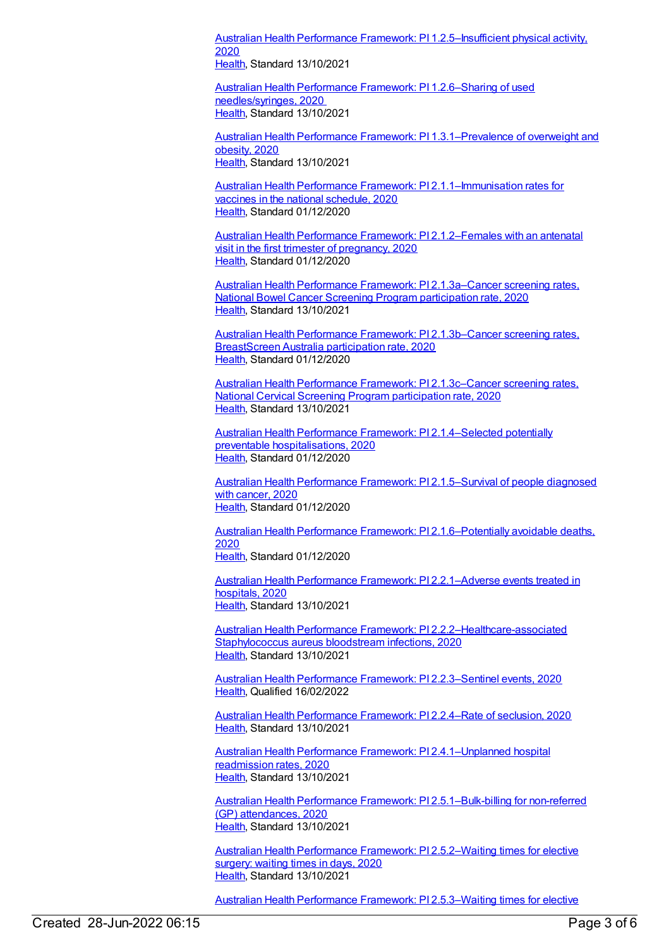Australian Health Performance Framework: PI [1.2.5–Insufficient](https://meteor.aihw.gov.au/content/728300) physical activity, 2020 [Health](https://meteor.aihw.gov.au/RegistrationAuthority/12), Standard 13/10/2021

Australian Health Performance Framework: PI 1.2.6–Sharing of used [needles/syringes,](https://meteor.aihw.gov.au/content/728302) 2020 [Health](https://meteor.aihw.gov.au/RegistrationAuthority/12), Standard 13/10/2021

Australian Health Performance Framework: PI [1.3.1–Prevalence](https://meteor.aihw.gov.au/content/728304) of overweight and obesity, 2020 [Health](https://meteor.aihw.gov.au/RegistrationAuthority/12), Standard 13/10/2021

Australian Health Performance Framework: PI [2.1.1–Immunisation](https://meteor.aihw.gov.au/content/728323) rates for vaccines in the national schedule, 2020 [Health](https://meteor.aihw.gov.au/RegistrationAuthority/12), Standard 01/12/2020

Australian Health Performance Framework: PI [2.1.2–Females](https://meteor.aihw.gov.au/content/728325) with an antenatal visit in the first trimester of pregnancy, 2020 [Health](https://meteor.aihw.gov.au/RegistrationAuthority/12), Standard 01/12/2020

Australian Health Performance Framework: PI [2.1.3a–Cancer](https://meteor.aihw.gov.au/content/728327) screening rates, National Bowel Cancer Screening Program participation rate, 2020 [Health](https://meteor.aihw.gov.au/RegistrationAuthority/12), Standard 13/10/2021

Australian Health Performance Framework: PI [2.1.3b–Cancer](https://meteor.aihw.gov.au/content/728329) screening rates, BreastScreen Australia participation rate, 2020 [Health](https://meteor.aihw.gov.au/RegistrationAuthority/12), Standard 01/12/2020

Australian Health Performance Framework: PI [2.1.3c–Cancer](https://meteor.aihw.gov.au/content/728331) screening rates, National Cervical Screening Program participation rate, 2020 [Health](https://meteor.aihw.gov.au/RegistrationAuthority/12), Standard 13/10/2021

Australian Health Performance Framework: PI [2.1.4–Selected](https://meteor.aihw.gov.au/content/728333) potentially preventable hospitalisations, 2020 [Health](https://meteor.aihw.gov.au/RegistrationAuthority/12), Standard 01/12/2020

Australian Health Performance Framework: PI [2.1.5–Survival](https://meteor.aihw.gov.au/content/728335) of people diagnosed with cancer, 2020 [Health](https://meteor.aihw.gov.au/RegistrationAuthority/12), Standard 01/12/2020

Australian Health Performance Framework: PI [2.1.6–Potentially](https://meteor.aihw.gov.au/content/728337) avoidable deaths, 2020 [Health](https://meteor.aihw.gov.au/RegistrationAuthority/12), Standard 01/12/2020

Australian Health Performance Framework: PI [2.2.1–Adverse](https://meteor.aihw.gov.au/content/728339) events treated in hospitals, 2020 [Health](https://meteor.aihw.gov.au/RegistrationAuthority/12), Standard 13/10/2021

Australian Health Performance Framework: PI [2.2.2–Healthcare-associated](https://meteor.aihw.gov.au/content/728341) Staphylococcus aureus bloodstream infections, 2020 [Health](https://meteor.aihw.gov.au/RegistrationAuthority/12), Standard 13/10/2021

Australian Health Performance Framework: PI [2.2.3–Sentinel](https://meteor.aihw.gov.au/content/728343) events, 2020 [Health](https://meteor.aihw.gov.au/RegistrationAuthority/12), Qualified 16/02/2022

Australian Health [Performance](https://meteor.aihw.gov.au/content/728345) Framework: PI 2.2.4–Rate of seclusion, 2020 [Health](https://meteor.aihw.gov.au/RegistrationAuthority/12), Standard 13/10/2021

Australian Health Performance Framework: PI [2.4.1–Unplanned](https://meteor.aihw.gov.au/content/728347) hospital readmission rates, 2020 [Health](https://meteor.aihw.gov.au/RegistrationAuthority/12), Standard 13/10/2021

Australian Health Performance Framework: PI [2.5.1–Bulk-billing](https://meteor.aihw.gov.au/content/728349) for non-referred (GP) attendances, 2020 [Health](https://meteor.aihw.gov.au/RegistrationAuthority/12), Standard 13/10/2021

Australian Health Performance Framework: PI [2.5.2–Waiting](https://meteor.aihw.gov.au/content/728351) times for elective surgery: waiting times in days, 2020 [Health](https://meteor.aihw.gov.au/RegistrationAuthority/12), Standard 13/10/2021

Australian Health Performance Framework: PI [2.5.3–Waiting](https://meteor.aihw.gov.au/content/728361) times for elective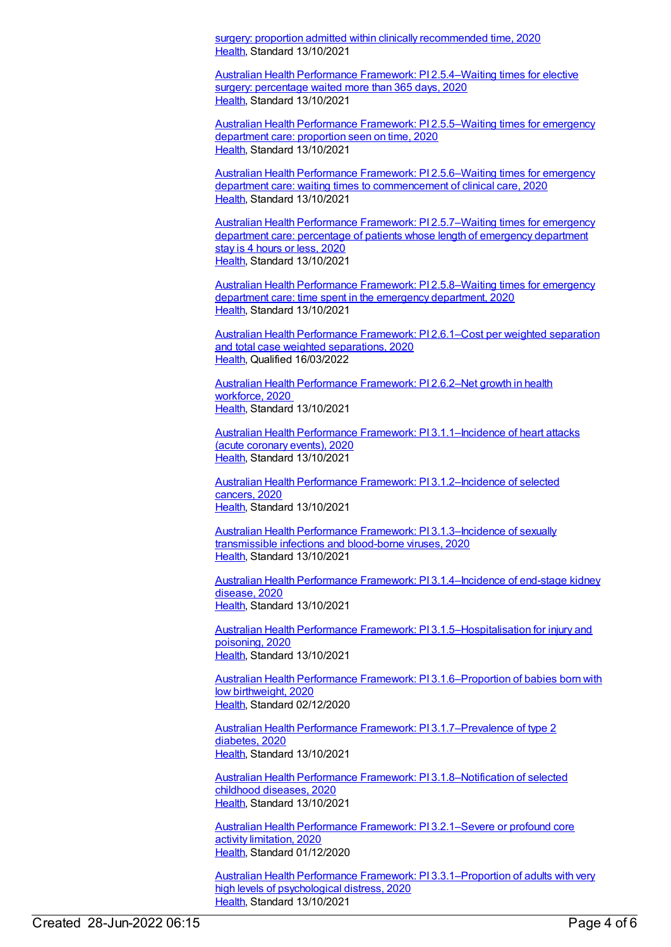surgery: proportion admitted within clinically recommended time, 2020 [Health](https://meteor.aihw.gov.au/RegistrationAuthority/12), Standard 13/10/2021

Australian Health Performance Framework: PI [2.5.4–Waiting](https://meteor.aihw.gov.au/content/728365) times for elective surgery: percentage waited more than 365 days, 2020 [Health](https://meteor.aihw.gov.au/RegistrationAuthority/12), Standard 13/10/2021

Australian Health Performance Framework: PI [2.5.5–Waiting](https://meteor.aihw.gov.au/content/728367) times for emergency department care: proportion seen on time, 2020 [Health](https://meteor.aihw.gov.au/RegistrationAuthority/12), Standard 13/10/2021

Australian Health Performance Framework: PI 2.5.6–Waiting times for emergency department care: waiting times to [commencement](https://meteor.aihw.gov.au/content/728369) of clinical care, 2020 [Health](https://meteor.aihw.gov.au/RegistrationAuthority/12), Standard 13/10/2021

Australian Health Performance Framework: PI [2.5.7–Waiting](https://meteor.aihw.gov.au/content/728373) times for emergency department care: percentage of patients whose length of emergency department stay is 4 hours or less, 2020 [Health](https://meteor.aihw.gov.au/RegistrationAuthority/12), Standard 13/10/2021

Australian Health Performance Framework: PI [2.5.8–Waiting](https://meteor.aihw.gov.au/content/728375) times for emergency department care: time spent in the emergency department, 2020 [Health](https://meteor.aihw.gov.au/RegistrationAuthority/12), Standard 13/10/2021

Australian Health [Performance](https://meteor.aihw.gov.au/content/728377) Framework: PI 2.6.1–Cost per weighted separation and total case weighted separations, 2020 [Health](https://meteor.aihw.gov.au/RegistrationAuthority/12), Qualified 16/03/2022

Australian Health [Performance](https://meteor.aihw.gov.au/content/728380) Framework: PI 2.6.2–Net growth in health workforce, 2020 [Health](https://meteor.aihw.gov.au/RegistrationAuthority/12), Standard 13/10/2021

Australian Health Performance Framework: PI [3.1.1–Incidence](https://meteor.aihw.gov.au/content/728383) of heart attacks (acute coronary events), 2020 [Health](https://meteor.aihw.gov.au/RegistrationAuthority/12), Standard 13/10/2021

Australian Health Performance Framework: PI [3.1.2–Incidence](https://meteor.aihw.gov.au/content/728385) of selected cancers, 2020 [Health](https://meteor.aihw.gov.au/RegistrationAuthority/12), Standard 13/10/2021

Australian Health Performance Framework: PI [3.1.3–Incidence](https://meteor.aihw.gov.au/content/728388) of sexually transmissible infections and blood-borne viruses, 2020 [Health](https://meteor.aihw.gov.au/RegistrationAuthority/12), Standard 13/10/2021

Australian Health Performance Framework: PI [3.1.4–Incidence](https://meteor.aihw.gov.au/content/728395) of end-stage kidney disease, 2020 [Health](https://meteor.aihw.gov.au/RegistrationAuthority/12), Standard 13/10/2021

Australian Health Performance Framework: PI [3.1.5–Hospitalisation](https://meteor.aihw.gov.au/content/728399) for injury and poisoning, 2020 [Health](https://meteor.aihw.gov.au/RegistrationAuthority/12), Standard 13/10/2021

Australian Health Performance Framework: PI [3.1.6–Proportion](https://meteor.aihw.gov.au/content/728403) of babies born with low birthweight, 2020 [Health](https://meteor.aihw.gov.au/RegistrationAuthority/12), Standard 02/12/2020

Australian Health Performance Framework: PI [3.1.7–Prevalence](https://meteor.aihw.gov.au/content/728408) of type 2 diabetes, 2020 [Health](https://meteor.aihw.gov.au/RegistrationAuthority/12), Standard 13/10/2021

Australian Health Performance Framework: PI [3.1.8–Notification](https://meteor.aihw.gov.au/content/728412) of selected childhood diseases, 2020 [Health](https://meteor.aihw.gov.au/RegistrationAuthority/12), Standard 13/10/2021

Australian Health Performance Framework: PI [3.2.1–Severe](https://meteor.aihw.gov.au/content/728418) or profound core activity limitation, 2020 [Health](https://meteor.aihw.gov.au/RegistrationAuthority/12), Standard 01/12/2020

Australian Health Performance Framework: PI [3.3.1–Proportion](https://meteor.aihw.gov.au/content/728421) of adults with very high levels of psychological distress, 2020 [Health](https://meteor.aihw.gov.au/RegistrationAuthority/12), Standard 13/10/2021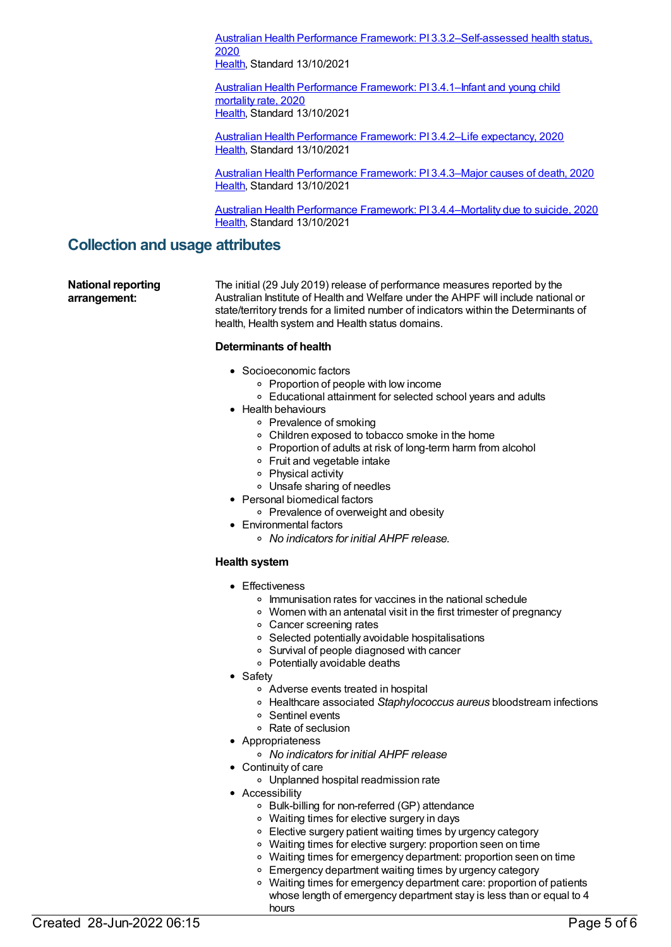Australian Health Performance Framework: PI [3.3.2–Self-assessed](https://meteor.aihw.gov.au/content/728470) health status, 2020

[Health](https://meteor.aihw.gov.au/RegistrationAuthority/12), Standard 13/10/2021

Australian Health [Performance](https://meteor.aihw.gov.au/content/728472) Framework: PI 3.4.1-Infant and young child mortality rate, 2020 [Health](https://meteor.aihw.gov.au/RegistrationAuthority/12), Standard 13/10/2021

Australian Health [Performance](https://meteor.aihw.gov.au/content/728474) Framework: PI 3.4.2–Life expectancy, 2020 [Health](https://meteor.aihw.gov.au/RegistrationAuthority/12), Standard 13/10/2021

Australian Health [Performance](https://meteor.aihw.gov.au/content/728476) Framework: PI 3.4.3–Major causes of death, 2020 [Health](https://meteor.aihw.gov.au/RegistrationAuthority/12), Standard 13/10/2021

Australian Health Performance Framework: PI [3.4.4–Mortality](https://meteor.aihw.gov.au/content/728478) due to suicide, 2020 [Health](https://meteor.aihw.gov.au/RegistrationAuthority/12), Standard 13/10/2021

## **Collection and usage attributes**

**National reporting arrangement:**

The initial (29 July 2019) release of performance measures reported by the Australian Institute of Health and Welfare under the AHPF will include national or state/territory trends for a limited number of indicators within the Determinants of health, Health system and Health status domains.

### **Determinants of health**

- Socioeconomic factors
	- Proportion of people with low income
	- Educational attainment for selected school years and adults
- Health behaviours
	- Prevalence of smoking
		- Children exposed to tobacco smoke in the home
		- Proportion of adults at risk of long-term harm from alcohol
		- Fruit and vegetable intake
		- Physical activity
	- Unsafe sharing of needles
- Personal biomedical factors
	- o Prevalence of overweight and obesity
- Environmental factors
	- *No indicators for initial AHPF release.*

## **Health system**

- **•** Effectiveness
	- o Immunisation rates for vaccines in the national schedule
	- Women with an antenatal visit in the first trimester of pregnancy
	- Cancer screening rates
	- Selected potentially avoidable hospitalisations
	- Survival of people diagnosed with cancer
	- Potentially avoidable deaths
- Safety
	- Adverse events treated in hospital
	- Healthcare associated *Staphylococcus aureus* bloodstream infections
	- Sentinel events
	- Rate of seclusion
- Appropriateness
	- *No indicators for initial AHPF release*
- Continuity of care
	- Unplanned hospital readmission rate
- Accessibility
	- Bulk-billing for non-referred (GP) attendance
	- Waiting times for elective surgery in days
	- Elective surgery patient waiting times by urgency category
	- Waiting times for elective surgery: proportion seen on time
	- Waiting times for emergency department: proportion seen on time
	- **Emergency department waiting times by urgency category**
	- Waiting times for emergency department care: proportion of patients  $\circ$ whose length of emergency department stay is less than or equal to 4 hours